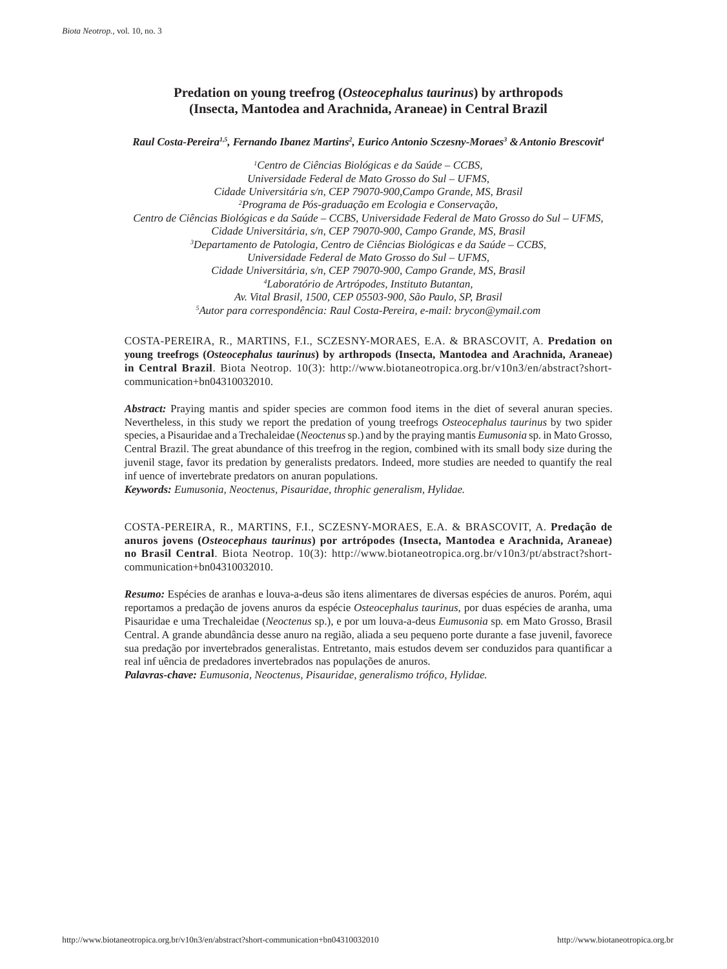# **Predation on young treefrog (***Osteocephalus taurinus***) by arthropods (Insecta, Mantodea and Arachnida, Araneae) in Central Brazil**

#### *Raul Costa-Pereira1,5, Fernando Ibanez Martins2 , Eurico Antonio Sczesny-Moraes3 &Antonio Brescovit4*

*1 Centro de Ciências Biológicas e da Saúde – CCBS, Universidade Federal de Mato Grosso do Sul – UFMS, Cidade Universitária s/n, CEP 79070-900,Campo Grande, MS, Brasil 2 Programa de Pós-graduação em Ecologia e Conservação, Centro de Ciências Biológicas e da Saúde – CCBS, Universidade Federal de Mato Grosso do Sul – UFMS, Cidade Universitária, s/n, CEP 79070-900, Campo Grande, MS, Brasil 3 Departamento de Patologia, Centro de Ciências Biológicas e da Saúde – CCBS, Universidade Federal de Mato Grosso do Sul – UFMS, Cidade Universitária, s/n, CEP 79070-900, Campo Grande, MS, Brasil 4 Laboratório de Artrópodes, Instituto Butantan, Av. Vital Brasil, 1500, CEP 05503-900, São Paulo, SP, Brasil 5 Autor para correspondência: Raul Costa-Pereira, e-mail: brycon@ymail.com*

COSTA-PEREIRA, R., MARTINS, F.I., SCZESNY-MORAES, E.A. & BRASCOVIT, A. **Predation on young treefrogs (***Osteocephalus taurinus***) by arthropods (Insecta, Mantodea and Arachnida, Araneae) in Central Brazil**. Biota Neotrop. 10(3): http://www.biotaneotropica.org.br/v10n3/en/abstract?shortcommunication+bn04310032010.

*Abstract:* Praying mantis and spider species are common food items in the diet of several anuran species. Nevertheless, in this study we report the predation of young treefrogs *Osteocephalus taurinus* by two spider species, a Pisauridae and a Trechaleidae (*Neoctenus* sp.) and by the praying mantis *Eumusonia* sp*.* in Mato Grosso, Central Brazil. The great abundance of this treefrog in the region, combined with its small body size during the juvenil stage, favor its predation by generalists predators. Indeed, more studies are needed to quantify the real influence of invertebrate predators on anuran populations.

*Keywords: Eumusonia, Neoctenus, Pisauridae, throphic generalism, Hylidae.*

COSTA-PEREIRA, R., MARTINS, F.I., SCZESNY-MORAES, E.A. & BRASCOVIT, A. **Predação de anuros jovens (***Osteocephaus taurinus***) por artrópodes (Insecta, Mantodea e Arachnida, Araneae) no Brasil Central**. Biota Neotrop. 10(3): http://www.biotaneotropica.org.br/v10n3/pt/abstract?shortcommunication+bn04310032010.

*Resumo:* Espécies de aranhas e louva-a-deus são itens alimentares de diversas espécies de anuros. Porém, aqui reportamos a predação de jovens anuros da espécie *Osteocephalus taurinus*, por duas espécies de aranha, uma Pisauridae e uma Trechaleidae (*Neoctenus* sp.), e por um louva-a-deus *Eumusonia* sp*.* em Mato Grosso, Brasil Central. A grande abundância desse anuro na região, aliada a seu pequeno porte durante a fase juvenil, favorece sua predação por invertebrados generalistas. Entretanto, mais estudos devem ser conduzidos para quantificar a real influência de predadores invertebrados nas populações de anuros.

*Palavras-chave: Eumusonia, Neoctenus, Pisauridae, generalismo trófico, Hylidae.*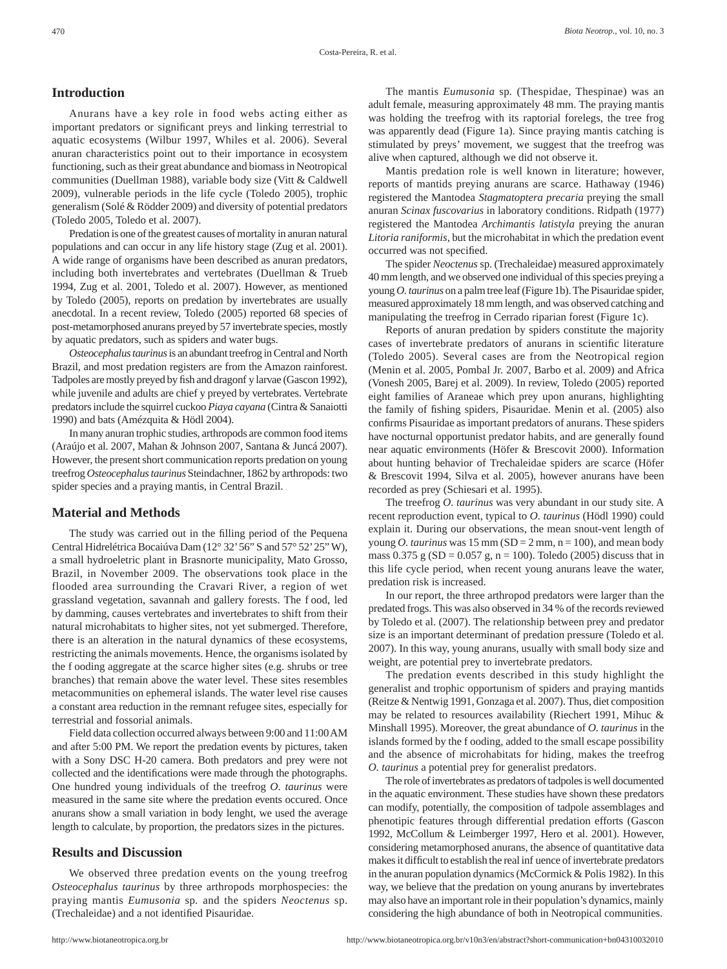# **Introduction**

Anurans have a key role in food webs acting either as important predators or significant preys and linking terrestrial to aquatic ecosystems (Wilbur 1997, Whiles et al. 2006). Several anuran characteristics point out to their importance in ecosystem functioning, such as their great abundance and biomass in Neotropical communities (Duellman 1988), variable body size (Vitt & Caldwell 2009), vulnerable periods in the life cycle (Toledo 2005), trophic generalism (Solé & Rödder 2009) and diversity of potential predators (Toledo 2005, Toledo et al. 2007).

Predation is one of the greatest causes of mortality in anuran natural populations and can occur in any life history stage (Zug et al. 2001). A wide range of organisms have been described as anuran predators, including both invertebrates and vertebrates (Duellman & Trueb 1994, Zug et al. 2001, Toledo et al. 2007). However, as mentioned by Toledo (2005), reports on predation by invertebrates are usually anecdotal. In a recent review, Toledo (2005) reported 68 species of post-metamorphosed anurans preyed by 57 invertebrate species, mostly by aquatic predators, such as spiders and water bugs.

*Osteocephalus taurinus* is an abundant treefrog in Central and North Brazil, and most predation registers are from the Amazon rainforest. Tadpoles are mostly preyed by fish and dragonfly larvae (Gascon 1992), while juvenile and adults are chief y preyed by vertebrates. Vertebrate predators include the squirrel cuckoo *Piaya cayana* (Cintra & Sanaiotti 1990) and bats (Amézquita & Hödl 2004).

In many anuran trophic studies, arthropods are common food items (Araújo et al. 2007, Mahan & Johnson 2007, Santana & Juncá 2007). However, the present short communication reports predation on young treefrog *Osteocephalus taurinus* Steindachner, 1862 by arthropods: two spider species and a praying mantis, in Central Brazil.

# **Material and Methods**

The study was carried out in the filling period of the Pequena Central Hidrelétrica Bocaiúva Dam (12° 32'56" S and 57° 52'25"W), a small hydroeletric plant in Brasnorte municipality, Mato Grosso, Brazil, in November 2009. The observations took place in the flooded area surrounding the Cravari River, a region of wet grassland vegetation, savannah and gallery forests. The food, led by damming, causes vertebrates and invertebrates to shift from their natural microhabitats to higher sites, not yet submerged. Therefore, there is an alteration in the natural dynamics of these ecosystems, restricting the animals movements. Hence, the organisms isolated by the f ooding aggregate at the scarce higher sites (e.g. shrubs or tree branches) that remain above the water level. These sites resembles metacommunities on ephemeral islands. The water level rise causes a constant area reduction in the remnant refugee sites, especially for terrestrial and fossorial animals.

Field data collection occurred always between 9:00 and 11:00AM and after 5:00 PM. We report the predation events by pictures, taken with a Sony DSC H-20 camera. Both predators and prey were not collected and the identifications were made through the photographs. One hundred young individuals of the treefrog *O. taurinus* were measured in the same site where the predation events occured. Once anurans show a small variation in body lenght, we used the average length to calculate, by proportion, the predators sizes in the pictures.

### **Results and Discussion**

We observed three predation events on the young treefrog *Osteocephalus taurinus* by three arthropods morphospecies: the praying mantis *Eumusonia* sp*.* and the spiders *Neoctenus* sp. (Trechaleidae) and a not identified Pisauridae.

The mantis *Eumusonia* sp*.* (Thespidae, Thespinae) was an adult female, measuring approximately 48 mm. The praying mantis was holding the treefrog with its raptorial forelegs, the tree frog was apparently dead (Figure 1a). Since praying mantis catching is stimulated by preys' movement, we suggest that the treefrog was alive when captured, although we did not observe it.

Mantis predation role is well known in literature; however, reports of mantids preying anurans are scarce. Hathaway (1946) registered the Mantodea *Stagmatoptera precaria* preying the small anuran *Scinax fuscovarius* in laboratory conditions. Ridpath (1977) registered the Mantodea *Archimantis latistyla* preying the anuran *Litoria raniformis*, but the microhabitat in which the predation event occurred was not specified.

The spider *Neoctenus* sp. (Trechaleidae) measured approximately 40 mm length, and we observed one individual of this species preying a young *O. taurinus* on a palm tree leaf (Figure 1b). The Pisauridae spider, measured approximately 18 mm length, and was observed catching and manipulating the treefrog in Cerrado riparian forest (Figure 1c).

Reports of anuran predation by spiders constitute the majority cases of invertebrate predators of anurans in scientific literature (Toledo 2005). Several cases are from the Neotropical region (Menin et al. 2005, Pombal Jr. 2007, Barbo et al. 2009) and Africa (Vonesh 2005, Barej et al. 2009). In review, Toledo (2005) reported eight families of Araneae which prey upon anurans, highlighting the family of fishing spiders, Pisauridae. Menin et al. (2005) also confirms Pisauridae as important predators of anurans. These spiders have nocturnal opportunist predator habits, and are generally found near aquatic environments (Höfer & Brescovit 2000). Information about hunting behavior of Trechaleidae spiders are scarce (Höfer & Brescovit 1994, Silva et al. 2005), however anurans have been recorded as prey (Schiesari et al. 1995).

The treefrog *O. taurinus* was very abundant in our study site. A recent reproduction event, typical to *O. taurinus* (Hödl 1990) could explain it. During our observations, the mean snout-vent length of young *O. taurinus* was  $15 \text{ mm (SD = } 2 \text{ mm, n = 100)}$ , and mean body mass  $0.375$  g (SD = 0.057 g, n = 100). Toledo (2005) discuss that in this life cycle period, when recent young anurans leave the water, predation risk is increased.

In our report, the three arthropod predators were larger than the predated frogs. This was also observed in 34 % of the records reviewed by Toledo et al. (2007). The relationship between prey and predator size is an important determinant of predation pressure (Toledo et al. 2007). In this way, young anurans, usually with small body size and weight, are potential prey to invertebrate predators.

The predation events described in this study highlight the generalist and trophic opportunism of spiders and praying mantids (Reitze & Nentwig 1991, Gonzaga et al. 2007). Thus, diet composition may be related to resources availability (Riechert 1991, Mihuc & Minshall 1995). Moreover, the great abundance of *O. taurinus* in the islands formed by the f ooding, added to the small escape possibility and the absence of microhabitats for hiding, makes the treefrog *O. taurinus* a potential prey for generalist predators.

The role of invertebrates as predators of tadpoles is well documented in the aquatic environment. These studies have shown these predators can modify, potentially, the composition of tadpole assemblages and phenotipic features through differential predation efforts (Gascon 1992, McCollum & Leimberger 1997, Hero et al. 2001). However, considering metamorphosed anurans, the absence of quantitative data makes it difficult to establish the real influence of invertebrate predators in the anuran population dynamics (McCormick & Polis 1982). In this way, we believe that the predation on young anurans by invertebrates may also have an important role in their population's dynamics, mainly considering the high abundance of both in Neotropical communities.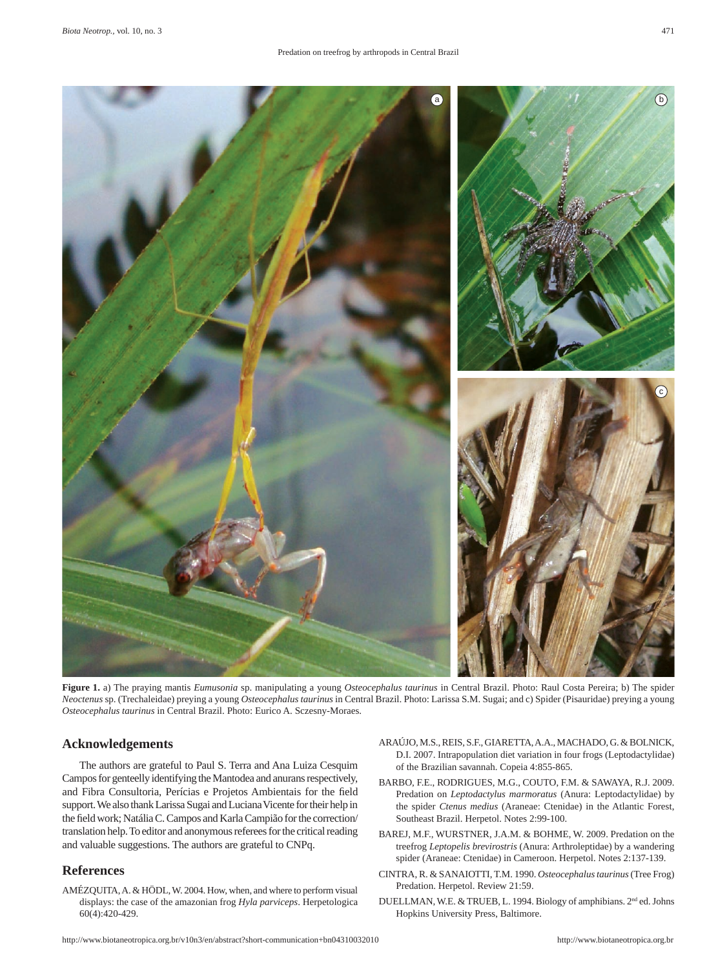

**Figure 1.** a) The praying mantis *Eumusonia* sp. manipulating a young *Osteocephalus taurinus* in Central Brazil. Photo: Raul Costa Pereira; b) The spider *Neoctenus* sp. (Trechaleidae) preying a young *Osteocephalus taurinus* in Central Brazil. Photo: Larissa S.M. Sugai; and c) Spider (Pisauridae) preying a young *Osteocephalus taurinus* in Central Brazil. Photo: Eurico A. Sczesny-Moraes.

## **Acknowledgements**

The authors are grateful to Paul S. Terra and Ana Luiza Cesquim Campos for genteelly identifying the Mantodea and anurans respectively, and Fibra Consultoria, Perícias e Projetos Ambientais for the field support. We also thank Larissa Sugai and Luciana Vicente for their help in the field work; Natália C. Campos and Karla Campião for the correction/ translation help. To editor and anonymous referees for the critical reading and valuable suggestions. The authors are grateful to CNPq.

## **References**

AMÉZQUITA, A. & HÖDL, W. 2004. How, when, and where to perform visual displays: the case of the amazonian frog *Hyla parviceps*. Herpetologica 60(4):420-429.

- ARAÚJO, M.S., REIS, S.F., GIARETTA, A.A., MACHADO, G. & BOLNICK, D.I. 2007. Intrapopulation diet variation in four frogs (Leptodactylidae) of the Brazilian savannah. Copeia 4:855-865.
- BARBO, F.E., RODRIGUES, M.G., COUTO, F.M. & SAWAYA, R.J. 2009. Predation on *Leptodactylus marmoratus* (Anura: Leptodactylidae) by the spider *Ctenus medius* (Araneae: Ctenidae) in the Atlantic Forest, Southeast Brazil. Herpetol. Notes 2:99-100.
- BAREJ, M.F., WURSTNER, J.A.M. & BOHME, W. 2009. Predation on the treefrog *Leptopelis brevirostris* (Anura: Arthroleptidae) by a wandering spider (Araneae: Ctenidae) in Cameroon. Herpetol. Notes 2:137-139.
- CINTRA, R. & SANAIOTTI, T.M. 1990. *Osteocephalus taurinus* (Tree Frog) Predation. Herpetol. Review 21:59.
- DUELLMAN, W.E. & TRUEB, L. 1994. Biology of amphibians. 2nd ed. Johns Hopkins University Press, Baltimore.